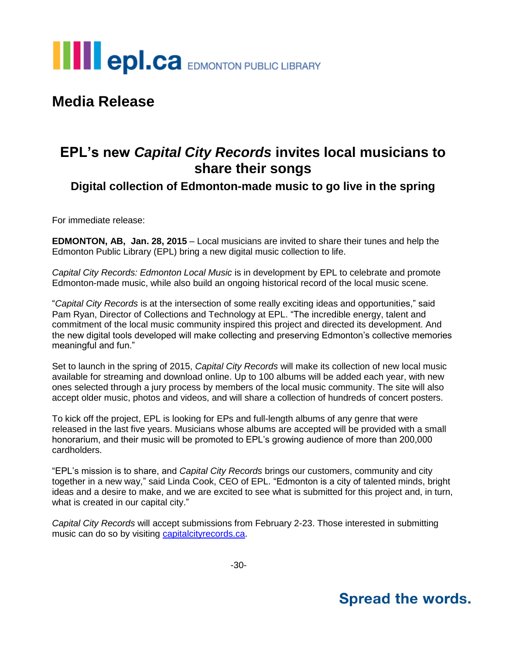

## **Media Release**

## **EPL's new** *Capital City Records* **invites local musicians to share their songs**

**Digital collection of Edmonton-made music to go live in the spring**

For immediate release:

**EDMONTON, AB, Jan. 28, 2015** – Local musicians are invited to share their tunes and help the Edmonton Public Library (EPL) bring a new digital music collection to life.

*Capital City Records: Edmonton Local Music* is in development by EPL to celebrate and promote Edmonton-made music, while also build an ongoing historical record of the local music scene.

"*Capital City Records* is at the intersection of some really exciting ideas and opportunities," said Pam Ryan, Director of Collections and Technology at EPL. "The incredible energy, talent and commitment of the local music community inspired this project and directed its development. And the new digital tools developed will make collecting and preserving Edmonton's collective memories meaningful and fun."

Set to launch in the spring of 2015, *Capital City Records* will make its collection of new local music available for streaming and download online. Up to 100 albums will be added each year, with new ones selected through a jury process by members of the local music community. The site will also accept older music, photos and videos, and will share a collection of hundreds of concert posters.

To kick off the project, EPL is looking for EPs and full-length albums of any genre that were released in the last five years. Musicians whose albums are accepted will be provided with a small honorarium, and their music will be promoted to EPL's growing audience of more than 200,000 cardholders.

"EPL's mission is to share, and *Capital City Records* brings our customers, community and city together in a new way," said Linda Cook, CEO of EPL. "Edmonton is a city of talented minds, bright ideas and a desire to make, and we are excited to see what is submitted for this project and, in turn, what is created in our capital city."

*Capital City Records* will accept submissions from February 2-23. Those interested in submitting music can do so by visiting [capitalcityrecords.ca.](http://www.capitalcityrecords.ca/)

-30-

## **Spread the words.**